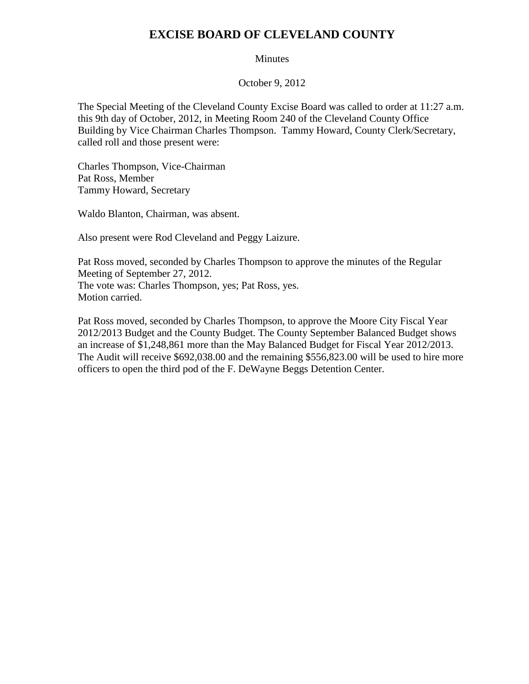## **EXCISE BOARD OF CLEVELAND COUNTY**

## Minutes

October 9, 2012

The Special Meeting of the Cleveland County Excise Board was called to order at 11:27 a.m. this 9th day of October, 2012, in Meeting Room 240 of the Cleveland County Office Building by Vice Chairman Charles Thompson. Tammy Howard, County Clerk/Secretary, called roll and those present were:

Charles Thompson, Vice-Chairman Pat Ross, Member Tammy Howard, Secretary

Waldo Blanton, Chairman, was absent.

Also present were Rod Cleveland and Peggy Laizure.

Pat Ross moved, seconded by Charles Thompson to approve the minutes of the Regular Meeting of September 27, 2012. The vote was: Charles Thompson, yes; Pat Ross, yes. Motion carried.

Pat Ross moved, seconded by Charles Thompson, to approve the Moore City Fiscal Year 2012/2013 Budget and the County Budget. The County September Balanced Budget shows an increase of \$1,248,861 more than the May Balanced Budget for Fiscal Year 2012/2013. The Audit will receive \$692,038.00 and the remaining \$556,823.00 will be used to hire more officers to open the third pod of the F. DeWayne Beggs Detention Center.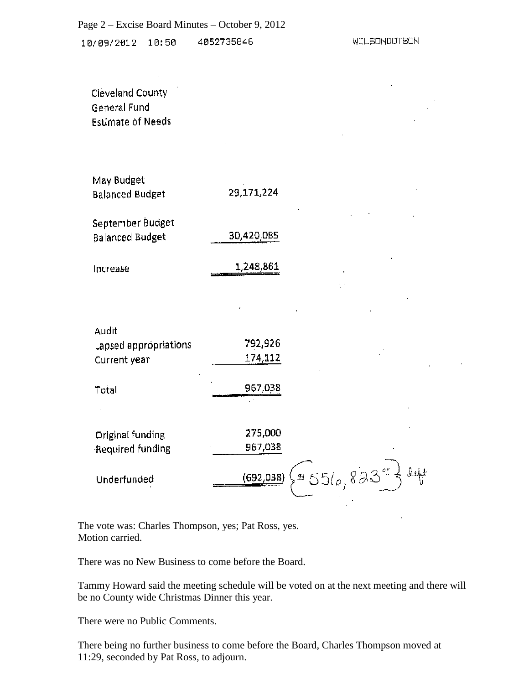10/09/2012 10:50 4052735846

 $\sim 10^{-1}$ 

 $\mathcal{L}^{\text{max}}(\mathcal{L}^{\text{max}})$  , where  $\mathcal{L}^{\text{max}}$ 

 $\sim 10^{11}$  km s  $^{-1}$ 

| Cleveland County         |
|--------------------------|
| General Fund             |
| <b>Estimate of Needs</b> |

| May Budget             |            |
|------------------------|------------|
| <b>Balanced Budget</b> | 29,171,224 |
|                        |            |
| September Budget       |            |

 $\bar{L}$ 

| Balanced Budget | 30,420,085 |
|-----------------|------------|
|                 |            |

| Increase | 1,248,861<br><u> André de la component de la component de la component de la component de la component de la component de la compo</u> |
|----------|----------------------------------------------------------------------------------------------------------------------------------------|
|----------|----------------------------------------------------------------------------------------------------------------------------------------|

| Audit<br>Lapsed appropriations<br>Current year      | 792,926<br>174,112                                        |
|-----------------------------------------------------|-----------------------------------------------------------|
| Total                                               | 967,038                                                   |
| Original funding<br>Required funding<br>Underfunded | 275,000<br>967,038<br>$\{8516,833^{\circ}\}$<br>(692,038) |

 $\Delta$ 

 $\sim 10^{-10}$ 

The vote was: Charles Thompson, yes; Pat Ross, yes. Motion carried.

There was no New Business to come before the Board.

Tammy Howard said the meeting schedule will be voted on at the next meeting and there will be no County wide Christmas Dinner this year.

There were no Public Comments.

There being no further business to come before the Board, Charles Thompson moved at 11:29, seconded by Pat Ross, to adjourn.